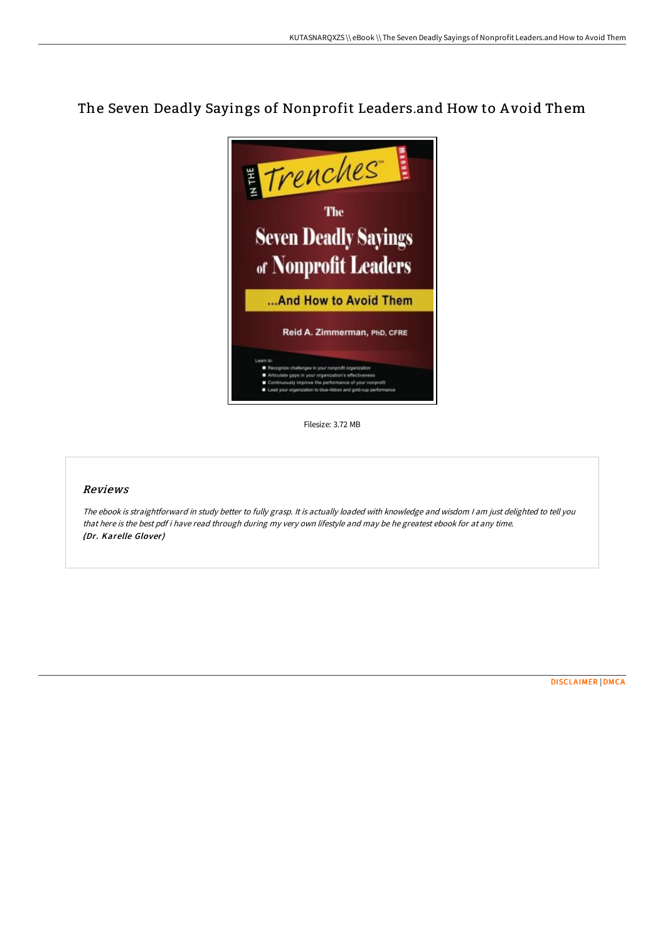## The Seven Deadly Sayings of Nonprofit Leaders.and How to A void Them



Filesize: 3.72 MB

## Reviews

The ebook is straightforward in study better to fully grasp. It is actually loaded with knowledge and wisdom <sup>I</sup> am just delighted to tell you that here is the best pdf i have read through during my very own lifestyle and may be he greatest ebook for at any time. (Dr. Karelle Glover)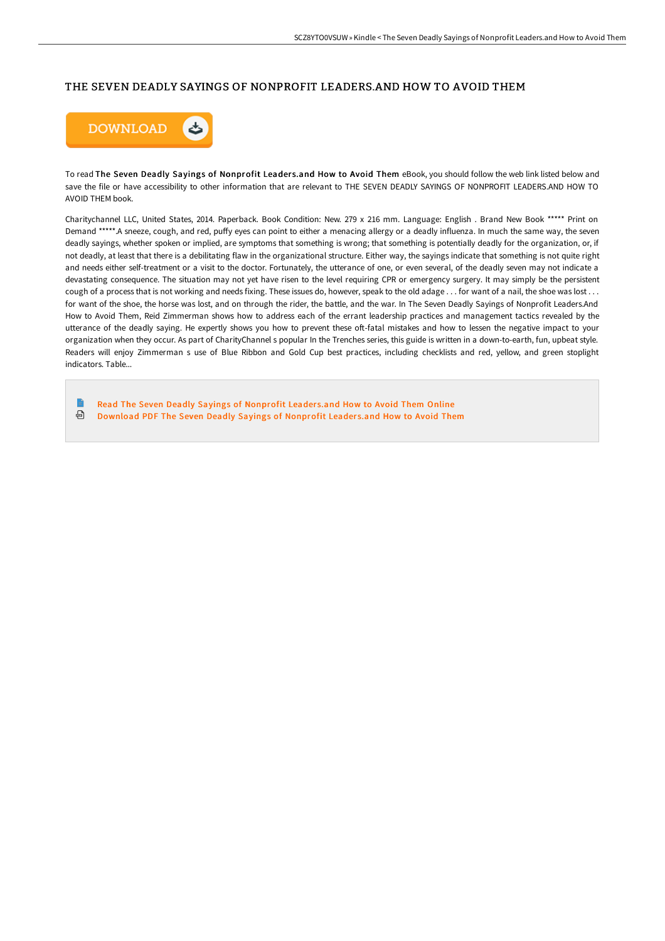## THE SEVEN DEADLY SAYINGS OF NONPROFIT LEADERS.AND HOW TO AVOID THEM



To read The Seven Deadly Sayings of Nonprofit Leaders.and How to Avoid Them eBook, you should follow the web link listed below and save the file or have accessibility to other information that are relevant to THE SEVEN DEADLY SAYINGS OF NONPROFIT LEADERS.AND HOW TO AVOID THEM book.

Charitychannel LLC, United States, 2014. Paperback. Book Condition: New. 279 x 216 mm. Language: English . Brand New Book \*\*\*\*\* Print on Demand \*\*\*\*\*.A sneeze, cough, and red, puffy eyes can point to either a menacing allergy or a deadly influenza. In much the same way, the seven deadly sayings, whether spoken or implied, are symptoms that something is wrong; that something is potentially deadly for the organization, or, if not deadly, at least that there is a debilitating flaw in the organizational structure. Either way, the sayings indicate that something is not quite right and needs either self-treatment or a visit to the doctor. Fortunately, the utterance of one, or even several, of the deadly seven may not indicate a devastating consequence. The situation may not yet have risen to the level requiring CPR or emergency surgery. It may simply be the persistent cough of a process that is not working and needs fixing. These issues do, however, speak to the old adage . . . for want of a nail, the shoe was lost . . . for want of the shoe, the horse was lost, and on through the rider, the battle, and the war. In The Seven Deadly Sayings of Nonprofit Leaders.And How to Avoid Them, Reid Zimmerman shows how to address each of the errant leadership practices and management tactics revealed by the utterance of the deadly saying. He expertly shows you how to prevent these oft-fatal mistakes and how to lessen the negative impact to your organization when they occur. As part of CharityChannel s popular In the Trenches series, this guide is written in a down-to-earth, fun, upbeat style. Readers will enjoy Zimmerman s use of Blue Ribbon and Gold Cup best practices, including checklists and red, yellow, and green stoplight indicators. Table...

 $\blacksquare$ Read The Seven Deadly Sayings of [Nonprofit](http://techno-pub.tech/the-seven-deadly-sayings-of-nonprofit-leaders-an.html) Leaders.and How to Avoid Them Online ⊕ [Download](http://techno-pub.tech/the-seven-deadly-sayings-of-nonprofit-leaders-an.html) PDF The Seven Deadly Sayings of Nonprofit Leaders.and How to Avoid Them